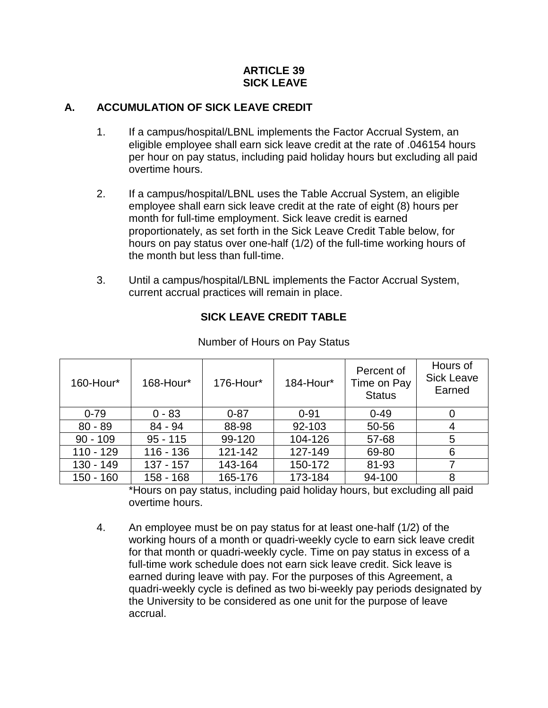#### **ARTICLE 39 SICK LEAVE**

### **A. ACCUMULATION OF SICK LEAVE CREDIT**

- 1. If a campus/hospital/LBNL implements the Factor Accrual System, an eligible employee shall earn sick leave credit at the rate of .046154 hours per hour on pay status, including paid holiday hours but excluding all paid overtime hours.
- 2. If a campus/hospital/LBNL uses the Table Accrual System, an eligible employee shall earn sick leave credit at the rate of eight (8) hours per month for full-time employment. Sick leave credit is earned proportionately, as set forth in the Sick Leave Credit Table below, for hours on pay status over one-half (1/2) of the full-time working hours of the month but less than full-time.
- 3. Until a campus/hospital/LBNL implements the Factor Accrual System, current accrual practices will remain in place.

# **SICK LEAVE CREDIT TABLE**

| 160-Hour*   | 168-Hour*   | 176-Hour* | 184-Hour* | Percent of<br>Time on Pay<br><b>Status</b> | Hours of<br><b>Sick Leave</b><br>Earned |
|-------------|-------------|-----------|-----------|--------------------------------------------|-----------------------------------------|
| $0 - 79$    | $0 - 83$    | $0 - 87$  | $0 - 91$  | $0 - 49$                                   |                                         |
| $80 - 89$   | 84 - 94     | 88-98     | 92-103    | 50-56                                      | 4                                       |
| $90 - 109$  | $95 - 115$  | 99-120    | 104-126   | 57-68                                      | 5                                       |
| $110 - 129$ | $116 - 136$ | 121-142   | 127-149   | 69-80                                      | 6                                       |
| $130 - 149$ | $137 - 157$ | 143-164   | 150-172   | 81-93                                      |                                         |
| $150 - 160$ | 158 - 168   | 165-176   | 173-184   | 94-100                                     | 8                                       |

Number of Hours on Pay Status

\*Hours on pay status, including paid holiday hours, but excluding all paid overtime hours.

4. An employee must be on pay status for at least one-half (1/2) of the working hours of a month or quadri-weekly cycle to earn sick leave credit for that month or quadri-weekly cycle. Time on pay status in excess of a full-time work schedule does not earn sick leave credit. Sick leave is earned during leave with pay. For the purposes of this Agreement, a quadri-weekly cycle is defined as two bi-weekly pay periods designated by the University to be considered as one unit for the purpose of leave accrual.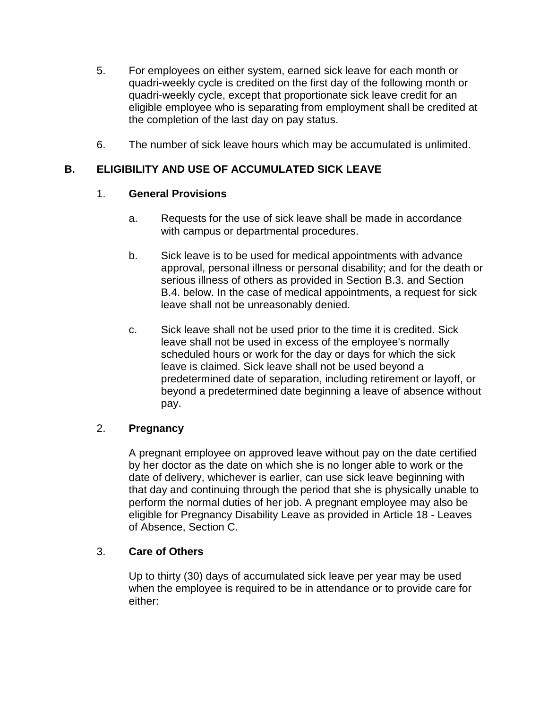- 5. For employees on either system, earned sick leave for each month or quadri-weekly cycle is credited on the first day of the following month or quadri-weekly cycle, except that proportionate sick leave credit for an eligible employee who is separating from employment shall be credited at the completion of the last day on pay status.
- 6. The number of sick leave hours which may be accumulated is unlimited.

# **B. ELIGIBILITY AND USE OF ACCUMULATED SICK LEAVE**

#### 1. **General Provisions**

- a. Requests for the use of sick leave shall be made in accordance with campus or departmental procedures.
- b. Sick leave is to be used for medical appointments with advance approval, personal illness or personal disability; and for the death or serious illness of others as provided in Section B.3. and Section B.4. below. In the case of medical appointments, a request for sick leave shall not be unreasonably denied.
- c. Sick leave shall not be used prior to the time it is credited. Sick leave shall not be used in excess of the employee's normally scheduled hours or work for the day or days for which the sick leave is claimed. Sick leave shall not be used beyond a predetermined date of separation, including retirement or layoff, or beyond a predetermined date beginning a leave of absence without pay.

# 2. **Pregnancy**

A pregnant employee on approved leave without pay on the date certified by her doctor as the date on which she is no longer able to work or the date of delivery, whichever is earlier, can use sick leave beginning with that day and continuing through the period that she is physically unable to perform the normal duties of her job. A pregnant employee may also be eligible for Pregnancy Disability Leave as provided in Article 18 - Leaves of Absence, Section C.

# 3. **Care of Others**

Up to thirty (30) days of accumulated sick leave per year may be used when the employee is required to be in attendance or to provide care for either: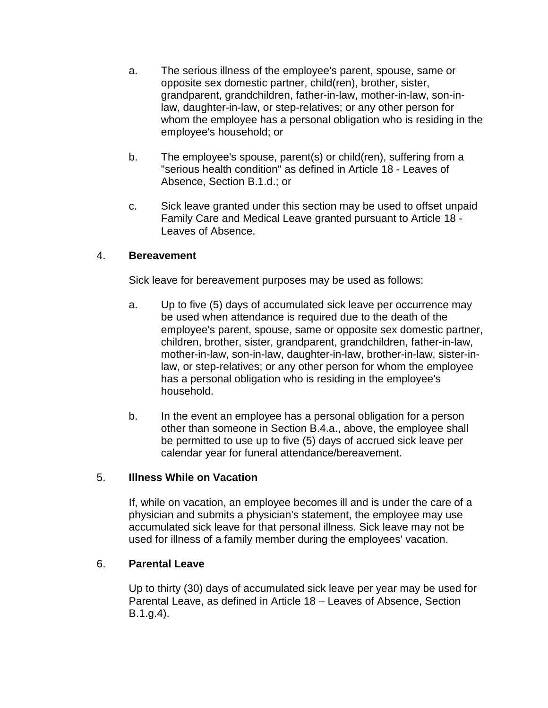- a. The serious illness of the employee's parent, spouse, same or opposite sex domestic partner, child(ren), brother, sister, grandparent, grandchildren, father-in-law, mother-in-law, son-inlaw, daughter-in-law, or step-relatives; or any other person for whom the employee has a personal obligation who is residing in the employee's household; or
- b. The employee's spouse, parent(s) or child(ren), suffering from a "serious health condition" as defined in Article 18 - Leaves of Absence, Section B.1.d.; or
- c. Sick leave granted under this section may be used to offset unpaid Family Care and Medical Leave granted pursuant to Article 18 - Leaves of Absence.

#### 4. **Bereavement**

Sick leave for bereavement purposes may be used as follows:

- a. Up to five (5) days of accumulated sick leave per occurrence may be used when attendance is required due to the death of the employee's parent, spouse, same or opposite sex domestic partner, children, brother, sister, grandparent, grandchildren, father-in-law, mother-in-law, son-in-law, daughter-in-law, brother-in-law, sister-inlaw, or step-relatives; or any other person for whom the employee has a personal obligation who is residing in the employee's household.
- b. In the event an employee has a personal obligation for a person other than someone in Section B.4.a., above, the employee shall be permitted to use up to five (5) days of accrued sick leave per calendar year for funeral attendance/bereavement.

#### 5. **Illness While on Vacation**

If, while on vacation, an employee becomes ill and is under the care of a physician and submits a physician's statement, the employee may use accumulated sick leave for that personal illness. Sick leave may not be used for illness of a family member during the employees' vacation.

# 6. **Parental Leave**

Up to thirty (30) days of accumulated sick leave per year may be used for Parental Leave, as defined in Article 18 – Leaves of Absence, Section B.1.g.4).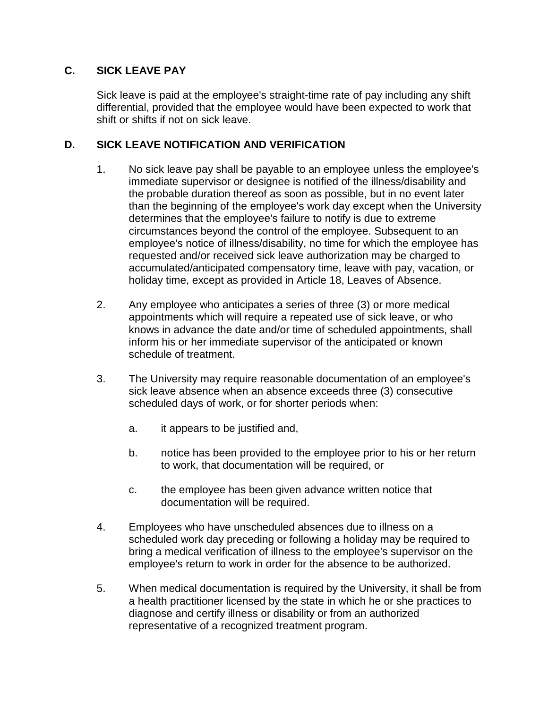# **C. SICK LEAVE PAY**

Sick leave is paid at the employee's straight-time rate of pay including any shift differential, provided that the employee would have been expected to work that shift or shifts if not on sick leave.

### **D. SICK LEAVE NOTIFICATION AND VERIFICATION**

- 1. No sick leave pay shall be payable to an employee unless the employee's immediate supervisor or designee is notified of the illness/disability and the probable duration thereof as soon as possible, but in no event later than the beginning of the employee's work day except when the University determines that the employee's failure to notify is due to extreme circumstances beyond the control of the employee. Subsequent to an employee's notice of illness/disability, no time for which the employee has requested and/or received sick leave authorization may be charged to accumulated/anticipated compensatory time, leave with pay, vacation, or holiday time, except as provided in Article 18, Leaves of Absence.
- 2. Any employee who anticipates a series of three (3) or more medical appointments which will require a repeated use of sick leave, or who knows in advance the date and/or time of scheduled appointments, shall inform his or her immediate supervisor of the anticipated or known schedule of treatment.
- 3. The University may require reasonable documentation of an employee's sick leave absence when an absence exceeds three (3) consecutive scheduled days of work, or for shorter periods when:
	- a. it appears to be justified and,
	- b. notice has been provided to the employee prior to his or her return to work, that documentation will be required, or
	- c. the employee has been given advance written notice that documentation will be required.
- 4. Employees who have unscheduled absences due to illness on a scheduled work day preceding or following a holiday may be required to bring a medical verification of illness to the employee's supervisor on the employee's return to work in order for the absence to be authorized.
- 5. When medical documentation is required by the University, it shall be from a health practitioner licensed by the state in which he or she practices to diagnose and certify illness or disability or from an authorized representative of a recognized treatment program.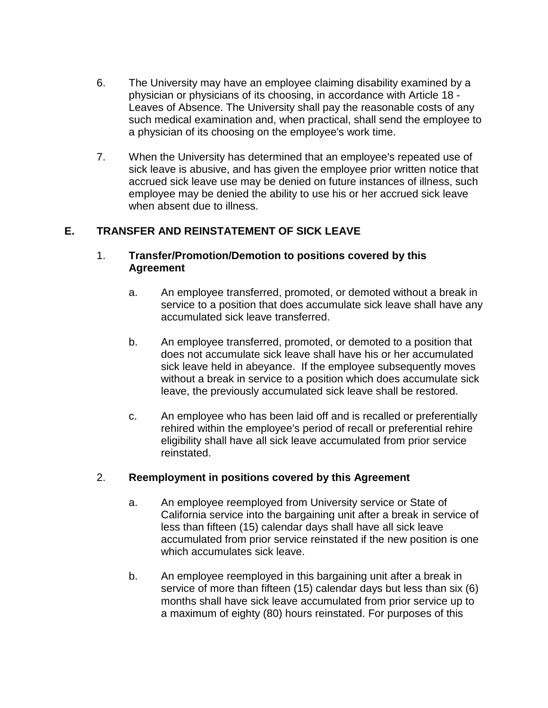- 6. The University may have an employee claiming disability examined by a physician or physicians of its choosing, in accordance with Article 18 - Leaves of Absence. The University shall pay the reasonable costs of any such medical examination and, when practical, shall send the employee to a physician of its choosing on the employee's work time.
- 7. When the University has determined that an employee's repeated use of sick leave is abusive, and has given the employee prior written notice that accrued sick leave use may be denied on future instances of illness, such employee may be denied the ability to use his or her accrued sick leave when absent due to illness.

# **E. TRANSFER AND REINSTATEMENT OF SICK LEAVE**

#### 1. **Transfer/Promotion/Demotion to positions covered by this Agreement**

- a. An employee transferred, promoted, or demoted without a break in service to a position that does accumulate sick leave shall have any accumulated sick leave transferred.
- b. An employee transferred, promoted, or demoted to a position that does not accumulate sick leave shall have his or her accumulated sick leave held in abeyance. If the employee subsequently moves without a break in service to a position which does accumulate sick leave, the previously accumulated sick leave shall be restored.
- c. An employee who has been laid off and is recalled or preferentially rehired within the employee's period of recall or preferential rehire eligibility shall have all sick leave accumulated from prior service reinstated.

#### 2. **Reemployment in positions covered by this Agreement**

- a. An employee reemployed from University service or State of California service into the bargaining unit after a break in service of less than fifteen (15) calendar days shall have all sick leave accumulated from prior service reinstated if the new position is one which accumulates sick leave.
- b. An employee reemployed in this bargaining unit after a break in service of more than fifteen (15) calendar days but less than six (6) months shall have sick leave accumulated from prior service up to a maximum of eighty (80) hours reinstated. For purposes of this